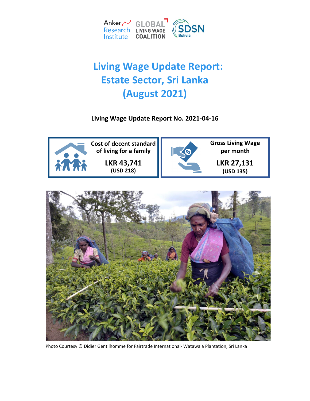

# **Living Wage Update Report: Estate Sector, Sri Lanka (August 2021)**

**Living Wage Update Report No. 2021-04-16**





Photo Courtesy © Didier Gentilhomme for Fairtrade International- Watawala Plantation, Sri Lanka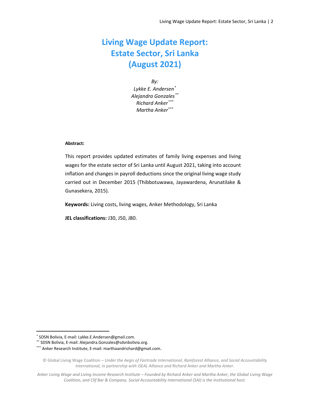# **Living Wage Update Report: Estate Sector, Sri Lanka (August 2021)**

*By: Lykke E. Andersen[\\*](#page-1-0) Alejandra Gonzales[\\*\\*](#page-1-1) Richard Anker[\\*\\*\\*](#page-1-2) Martha Anker\*\*\**

#### **Abstract:**

This report provides updated estimates of family living expenses and living wages for the estate sector of Sri Lanka until August 2021, taking into account inflation and changes in payroll deductions since the original living wage study carried out in December 2015 (Thibbotuwawa, Jayawardena, Arunatilake & Gunasekera, 2015).

**Keywords:** Living costs, living wages, Anker Methodology, Sri Lanka

**JEL classifications:** J30, J50, J80.

<span id="page-1-0"></span> <sup>\*</sup> SDSN Bolivia, E-mail: Lykke.E.Andersen@gmail.com.

<span id="page-1-1"></span><sup>\*\*</sup> SDSN Bolivia, E-mail: Alejandra.Gonzales@sdsnbolivia.org.

<span id="page-1-2"></span><sup>\*\*\*</sup> Anker Research Institute, E-mail[: marthaandrichard@gmail.com.](mailto:marthaandrichard@gmail.com)

<sup>©</sup> Global Living Wage Coalition – *Under the Aegis of Fairtrade International, Rainforest Alliance, and Social Accountability International, in partnership with ISEAL Alliance and Richard Anker and Martha Anker.*

*Anker Living Wage and Living Income Research Institute – Founded by Richard Anker and Martha Anker, the Global Living Wage Coalition, and Clif Bar & Company. Social Accountability International (SAI) is the institutional host.*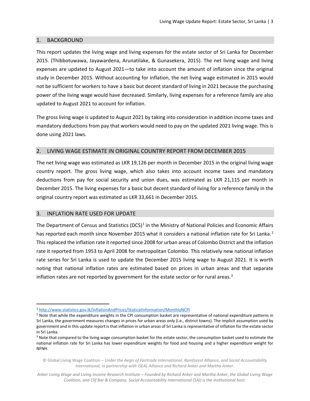# 1. BACKGROUND

This report updates the living wage and living expenses for the estate sector of Sri Lanka for December 2015. (Thibbotuwawa, Jayawardena, Arunatilake, & Gunasekera, 2015). The net living wage and living expenses are updated to August 2021—to take into account the amount of inflation since the original study in December 2015. Without accounting for inflation, the net living wage estimated in 2015 would not be sufficient for workers to have a basic but decent standard of living in 2021 because the purchasing power of the living wage would have decreased. Similarly, living expenses for a reference family are also updated to August 2021 to account for inflation.

The gross living wage is updated to August 2021 by taking into consideration in addition income taxes and mandatory deductions from pay that workers would need to pay on the updated 2021 living wage. This is done using 2021 laws.

# 2. LIVING WAGE ESTIMATE IN ORIGINAL COUNTRY REPORT FROM DECEMBER 2015

The net living wage was estimated as LKR 19,126 per month in December 2015 in the original living wage country report. The gross living wage, which also takes into account income taxes and mandatory deductions from pay for social security and union dues, was estimated as LKR 21,115 per month in December 2015. The living expenses for a basic but decent standard of living for a reference family in the original country report was estimated as LKR 33,661 in December 2015.

#### 3. INFLATION RATE USED FOR UPDATE

The Department of Census and Statistics (DCS)<sup>[1](#page-2-0)</sup> in the Ministry of National Policies and Economic Affairs has reported each month since November [2](#page-2-1)015 what it considers a national inflation rate for Sri Lanka.<sup>2</sup> This replaced the inflation rate it reported since 2008 for urban areas of Colombo District and the inflation rate it reported from 1953 to April 2008 for metropolitan Colombo. This relatively new national inflation rate series for Sri Lanka is used to update the December 2015 living wage to August 2021. It is worth noting that national inflation rates are estimated based on prices in urban areas and that separate inflation rates are not reported by government for the estate sector or for rural areas.<sup>[3](#page-2-2)</sup>

<span id="page-2-0"></span> <sup>1</sup> <http://www.statistics.gov.lk/InflationAndPrices/StaticalInformation/MonthlyNCPI>

<span id="page-2-1"></span> $<sup>2</sup>$  Note that while the expenditure weights in the CPI consumption basket are representative of national expenditure patterns in</sup> Sri Lanka, the government measures changes in prices for urban areas only (i.e., district towns). The implicit assumption used by government and in this update report is that inflation in urban areas of Sri Lanka is representative of inflation for the estate sector in Sri Lanka.

<span id="page-2-2"></span><sup>&</sup>lt;sup>3</sup> Note that compared to the living wage consumption basket for the estate sector, the consumption basket used to estimate the national inflation rate for Sri Lanka has lower expenditure weights for food and housing and a higher expenditure weight for NFNH.

<sup>©</sup> Global Living Wage Coalition – *Under the Aegis of Fairtrade International, Rainforest Alliance, and Social Accountability International, in partnership with ISEAL Alliance and Richard Anker and Martha Anker.*

*Anker Living Wage and Living Income Research Institute – Founded by Richard Anker and Martha Anker, the Global Living Wage Coalition, and Clif Bar & Company. Social Accountability International (SAI) is the institutional host.*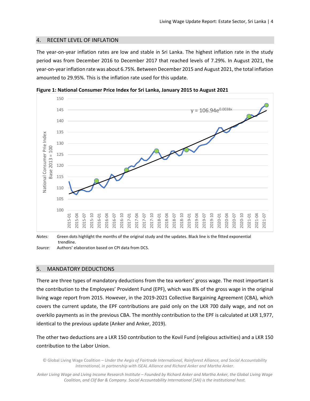# 4. RECENT LEVEL OF INFLATION

The year-on-year inflation rates are low and stable in Sri Lanka. The highest inflation rate in the study period was from December 2016 to December 2017 that reached levels of 7.29%. In August 2021, the year-on-year inflation rate was about 6.75%. Between December 2015 and August 2021, the total inflation amounted to 29.95%. This is the inflation rate used for this update.



**Figure 1: National Consumer Price Index for Sri Lanka, January 2015 to August 2021**

*Notes:* Green dots highlight the months of the original study and the updates. Black line is the fitted exponential trendline.

*Source:* Authors' elaboration based on CPI data from DCS.

#### 5. MANDATORY DEDUCTIONS

There are three types of mandatory deductions from the tea workers' gross wage. The most important is the contribution to the Employees' Provident Fund (EPF), which was 8% of the gross wage in the original living wage report from 2015. However, in the 2019-2021 Collective Bargaining Agreement (CBA), which covers the current update, the EPF contributions are paid only on the LKR 700 daily wage, and not on overkilo payments as in the previous CBA. The monthly contribution to the EPF is calculated at LKR 1,977, identical to the previous update (Anker and Anker, 2019).

The other two deductions are a LKR 150 contribution to the Kovil Fund (religious activities) and a LKR 150 contribution to the Labor Union.

© Global Living Wage Coalition – *Under the Aegis of Fairtrade International, Rainforest Alliance, and Social Accountability International, in partnership with ISEAL Alliance and Richard Anker and Martha Anker.*

*Anker Living Wage and Living Income Research Institute – Founded by Richard Anker and Martha Anker, the Global Living Wage Coalition, and Clif Bar & Company. Social Accountability International (SAI) is the institutional host.*